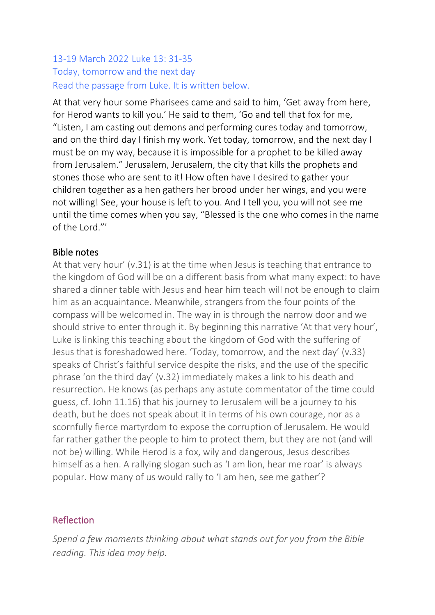### 13-19 March 2022 Luke 13: 31-35 Today, tomorrow and the next day Read the passage from Luke. It is written below.

At that very hour some Pharisees came and said to him, 'Get away from here, for Herod wants to kill you.' He said to them, 'Go and tell that fox for me, "Listen, I am casting out demons and performing cures today and tomorrow, and on the third day I finish my work. Yet today, tomorrow, and the next day I must be on my way, because it is impossible for a prophet to be killed away from Jerusalem." Jerusalem, Jerusalem, the city that kills the prophets and stones those who are sent to it! How often have I desired to gather your children together as a hen gathers her brood under her wings, and you were not willing! See, your house is left to you. And I tell you, you will not see me until the time comes when you say, "Blessed is the one who comes in the name of the Lord."'

#### Bible notes

At that very hour' (v.31) is at the time when Jesus is teaching that entrance to the kingdom of God will be on a different basis from what many expect: to have shared a dinner table with Jesus and hear him teach will not be enough to claim him as an acquaintance. Meanwhile, strangers from the four points of the compass will be welcomed in. The way in is through the narrow door and we should strive to enter through it. By beginning this narrative 'At that very hour', Luke is linking this teaching about the kingdom of God with the suffering of Jesus that is foreshadowed here. 'Today, tomorrow, and the next day' (v.33) speaks of Christ's faithful service despite the risks, and the use of the specific phrase 'on the third day' (v.32) immediately makes a link to his death and resurrection. He knows (as perhaps any astute commentator of the time could guess, cf. John 11.16) that his journey to Jerusalem will be a journey to his death, but he does not speak about it in terms of his own courage, nor as a scornfully fierce martyrdom to expose the corruption of Jerusalem. He would far rather gather the people to him to protect them, but they are not (and will not be) willing. While Herod is a fox, wily and dangerous, Jesus describes himself as a hen. A rallying slogan such as 'I am lion, hear me roar' is always popular. How many of us would rally to 'I am hen, see me gather'?

### Reflection

*Spend a few moments thinking about what stands out for you from the Bible reading. This idea may help.*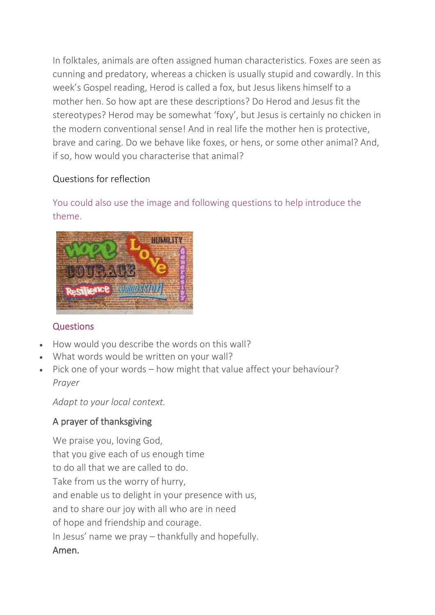In folktales, animals are often assigned human characteristics. Foxes are seen as cunning and predatory, whereas a chicken is usually stupid and cowardly. In this week's Gospel reading, Herod is called a fox, but Jesus likens himself to a mother hen. So how apt are these descriptions? Do Herod and Jesus fit the stereotypes? Herod may be somewhat 'foxy', but Jesus is certainly no chicken in the modern conventional sense! And in real life the mother hen is protective, brave and caring. Do we behave like foxes, or hens, or some other animal? And, if so, how would you characterise that animal?

### Questions for reflection

# You could also use the image and following questions to help introduce the theme.



### **Questions**

- How would you describe the words on this wall?
- What words would be written on your wall?
- Pick one of your words how might that value affect your behaviour? *Prayer*

*Adapt to your local context.*

## A prayer of thanksgiving

We praise you, loving God, that you give each of us enough time to do all that we are called to do. Take from us the worry of hurry, and enable us to delight in your presence with us, and to share our joy with all who are in need of hope and friendship and courage. In Jesus' name we pray – thankfully and hopefully. Amen.